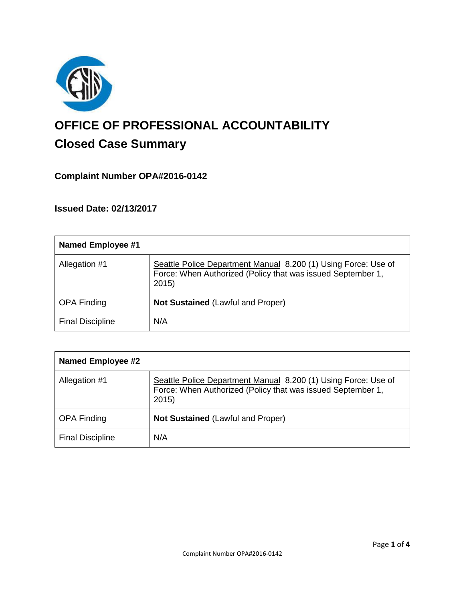

# **OFFICE OF PROFESSIONAL ACCOUNTABILITY Closed Case Summary**

# **Complaint Number OPA#2016-0142**

**Issued Date: 02/13/2017**

| <b>Named Employee #1</b> |                                                                                                                                       |
|--------------------------|---------------------------------------------------------------------------------------------------------------------------------------|
| Allegation #1            | Seattle Police Department Manual 8.200 (1) Using Force: Use of<br>Force: When Authorized (Policy that was issued September 1,<br>2015 |
| <b>OPA Finding</b>       | Not Sustained (Lawful and Proper)                                                                                                     |
| <b>Final Discipline</b>  | N/A                                                                                                                                   |

| <b>Named Employee #2</b> |                                                                                                                                       |
|--------------------------|---------------------------------------------------------------------------------------------------------------------------------------|
| Allegation #1            | Seattle Police Department Manual 8.200 (1) Using Force: Use of<br>Force: When Authorized (Policy that was issued September 1,<br>2015 |
| <b>OPA Finding</b>       | Not Sustained (Lawful and Proper)                                                                                                     |
| <b>Final Discipline</b>  | N/A                                                                                                                                   |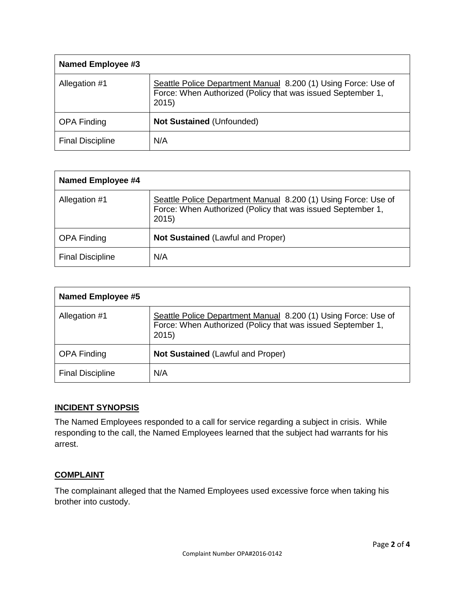| Named Employee #3       |                                                                                                                                       |
|-------------------------|---------------------------------------------------------------------------------------------------------------------------------------|
| Allegation #1           | Seattle Police Department Manual 8.200 (1) Using Force: Use of<br>Force: When Authorized (Policy that was issued September 1,<br>2015 |
| <b>OPA Finding</b>      | Not Sustained (Unfounded)                                                                                                             |
| <b>Final Discipline</b> | N/A                                                                                                                                   |

| Named Employee #4       |                                                                                                                                       |
|-------------------------|---------------------------------------------------------------------------------------------------------------------------------------|
| Allegation #1           | Seattle Police Department Manual 8.200 (1) Using Force: Use of<br>Force: When Authorized (Policy that was issued September 1,<br>2015 |
| <b>OPA Finding</b>      | <b>Not Sustained (Lawful and Proper)</b>                                                                                              |
| <b>Final Discipline</b> | N/A                                                                                                                                   |

| <b>Named Employee #5</b> |                                                                                                                                       |
|--------------------------|---------------------------------------------------------------------------------------------------------------------------------------|
| Allegation #1            | Seattle Police Department Manual 8.200 (1) Using Force: Use of<br>Force: When Authorized (Policy that was issued September 1,<br>2015 |
| <b>OPA Finding</b>       | <b>Not Sustained (Lawful and Proper)</b>                                                                                              |
| <b>Final Discipline</b>  | N/A                                                                                                                                   |

# **INCIDENT SYNOPSIS**

The Named Employees responded to a call for service regarding a subject in crisis. While responding to the call, the Named Employees learned that the subject had warrants for his arrest.

# **COMPLAINT**

The complainant alleged that the Named Employees used excessive force when taking his brother into custody.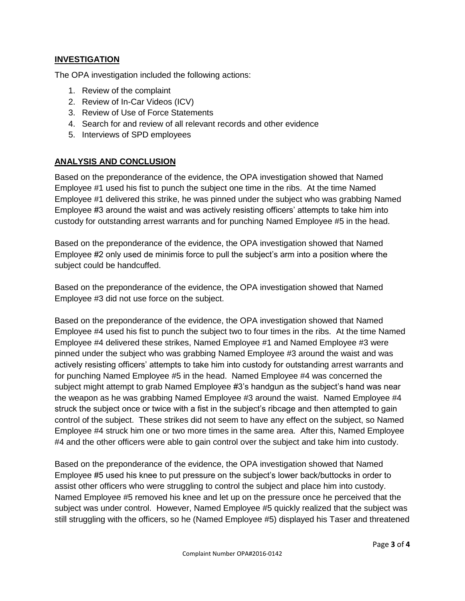# **INVESTIGATION**

The OPA investigation included the following actions:

- 1. Review of the complaint
- 2. Review of In-Car Videos (ICV)
- 3. Review of Use of Force Statements
- 4. Search for and review of all relevant records and other evidence
- 5. Interviews of SPD employees

# **ANALYSIS AND CONCLUSION**

Based on the preponderance of the evidence, the OPA investigation showed that Named Employee #1 used his fist to punch the subject one time in the ribs. At the time Named Employee #1 delivered this strike, he was pinned under the subject who was grabbing Named Employee #3 around the waist and was actively resisting officers' attempts to take him into custody for outstanding arrest warrants and for punching Named Employee #5 in the head.

Based on the preponderance of the evidence, the OPA investigation showed that Named Employee #2 only used de minimis force to pull the subject's arm into a position where the subject could be handcuffed.

Based on the preponderance of the evidence, the OPA investigation showed that Named Employee #3 did not use force on the subject.

Based on the preponderance of the evidence, the OPA investigation showed that Named Employee #4 used his fist to punch the subject two to four times in the ribs. At the time Named Employee #4 delivered these strikes, Named Employee #1 and Named Employee #3 were pinned under the subject who was grabbing Named Employee #3 around the waist and was actively resisting officers' attempts to take him into custody for outstanding arrest warrants and for punching Named Employee #5 in the head. Named Employee #4 was concerned the subject might attempt to grab Named Employee #3's handgun as the subject's hand was near the weapon as he was grabbing Named Employee #3 around the waist. Named Employee #4 struck the subject once or twice with a fist in the subject's ribcage and then attempted to gain control of the subject. These strikes did not seem to have any effect on the subject, so Named Employee #4 struck him one or two more times in the same area. After this, Named Employee #4 and the other officers were able to gain control over the subject and take him into custody.

Based on the preponderance of the evidence, the OPA investigation showed that Named Employee #5 used his knee to put pressure on the subject's lower back/buttocks in order to assist other officers who were struggling to control the subject and place him into custody. Named Employee #5 removed his knee and let up on the pressure once he perceived that the subject was under control. However, Named Employee #5 quickly realized that the subject was still struggling with the officers, so he (Named Employee #5) displayed his Taser and threatened